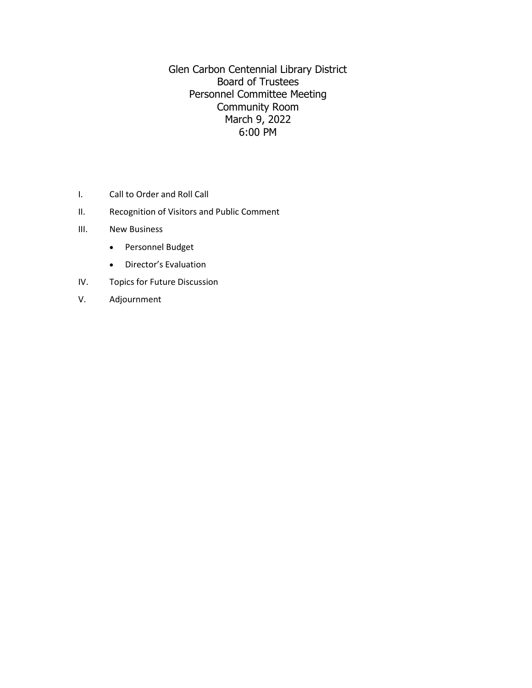Glen Carbon Centennial Library District Board of Trustees Personnel Committee Meeting Community Room March 9, 2022 6:00 PM

- I. Call to Order and Roll Call
- II. Recognition of Visitors and Public Comment
- III. New Business
	- Personnel Budget
	- Director's Evaluation
- IV. Topics for Future Discussion
- V. Adjournment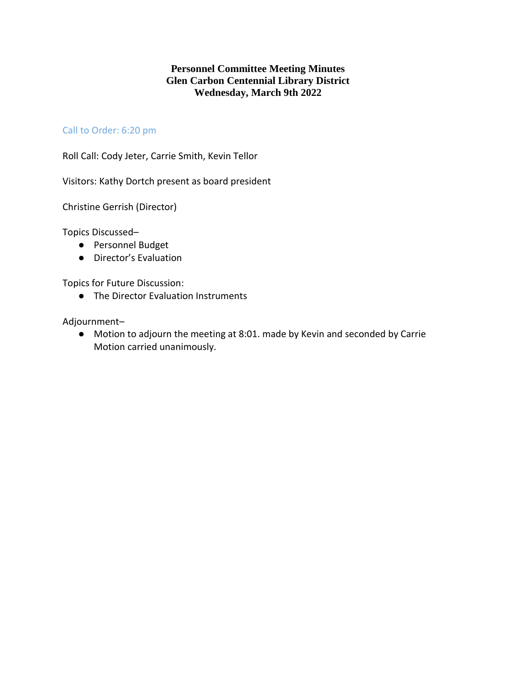## **Personnel Committee Meeting Minutes Glen Carbon Centennial Library District Wednesday, March 9th 2022**

## Call to Order: 6:20 pm

Roll Call: Cody Jeter, Carrie Smith, Kevin Tellor

Visitors: Kathy Dortch present as board president

Christine Gerrish (Director)

Topics Discussed–

- Personnel Budget
- Director's Evaluation

Topics for Future Discussion:

● The Director Evaluation Instruments

Adjournment–

● Motion to adjourn the meeting at 8:01. made by Kevin and seconded by Carrie Motion carried unanimously.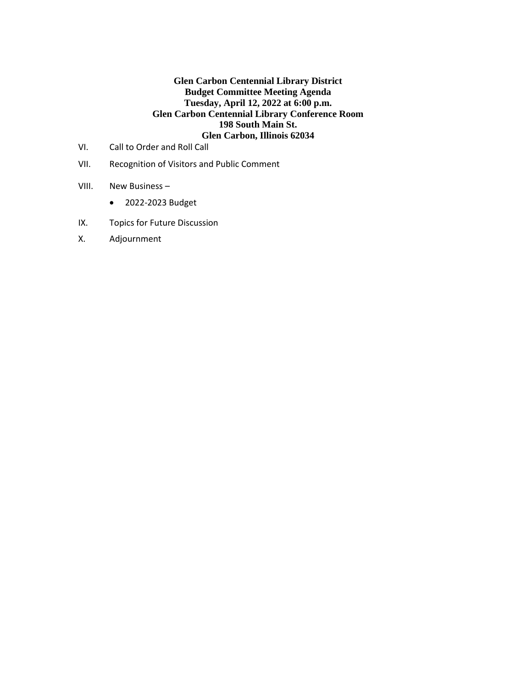## **Glen Carbon Centennial Library District Budget Committee Meeting Agenda Tuesday, April 12, 2022 at 6:00 p.m. Glen Carbon Centennial Library Conference Room 198 South Main St. Glen Carbon, Illinois 62034**

- VI. Call to Order and Roll Call
- VII. Recognition of Visitors and Public Comment
- VIII. New Business
	- 2022-2023 Budget
- IX. Topics for Future Discussion
- X. Adjournment